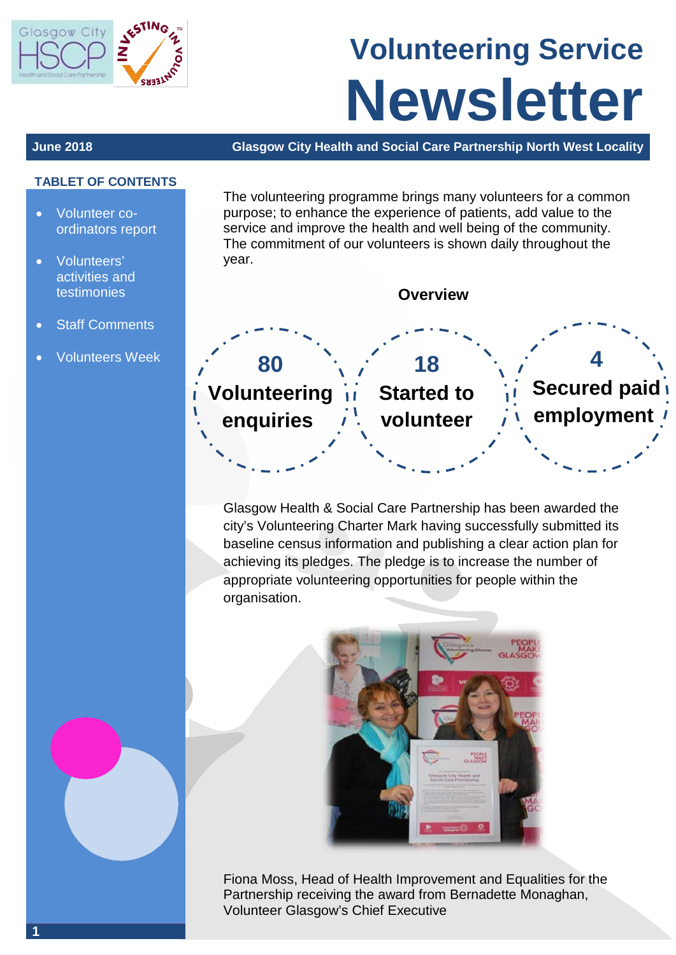

# **Volunteering Service Newsletter**

#### **June 2018 Glasgow City Health and Social Care Partnership North West Locality**

#### **TABLET OF CONTENTS**

- Volunteer coordinators report
- Volunteers' activities and testimonies
- **Staff Comments**
- Volunteers Week

The volunteering programme brings many volunteers for a common purpose; to enhance the experience of patients, add value to the service and improve the health and well being of the community. The commitment of our volunteers is shown daily throughout the year.



Glasgow Health & Social Care Partnership has been awarded the city's Volunteering Charter Mark having successfully submitted its baseline census information and publishing a clear action plan for achieving its pledges. The pledge is to increase the number of appropriate volunteering opportunities for people within the organisation.



Fiona Moss, Head of Health Improvement and Equalities for the Partnership receiving the award from Bernadette Monaghan, Volunteer Glasgow's Chief Executive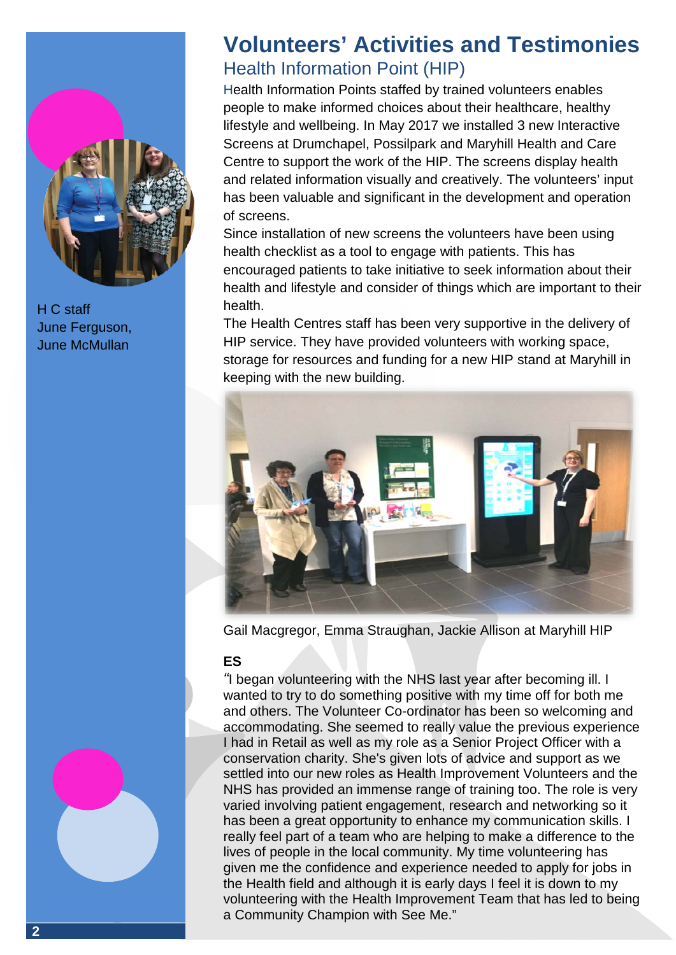

H C staff June Ferguson, June McMullan

## **Volunteers' Activities and Testimonies** Health Information Point (HIP)

Health Information Points staffed by trained volunteers enables people to make informed choices about their healthcare, healthy lifestyle and wellbeing. In May 2017 we installed 3 new Interactive Screens at Drumchapel, Possilpark and Maryhill Health and Care Centre to support the work of the HIP. The screens display health and related information visually and creatively. The volunteers' input has been valuable and significant in the development and operation of screens.

Since installation of new screens the volunteers have been using health checklist as a tool to engage with patients. This has encouraged patients to take initiative to seek information about their health and lifestyle and consider of things which are important to their health.

The Health Centres staff has been very supportive in the delivery of HIP service. They have provided volunteers with working space, storage for resources and funding for a new HIP stand at Maryhill in keeping with the new building.



Gail Macgregor, Emma Straughan, Jackie Allison at Maryhill HIP

#### **ES**

*"*I began volunteering with the NHS last year after becoming ill. I wanted to try to do something positive with my time off for both me and others. The Volunteer Co-ordinator has been so welcoming and accommodating. She seemed to really value the previous experience I had in Retail as well as my role as a Senior Project Officer with a conservation charity. She's given lots of advice and support as we settled into our new roles as Health Improvement Volunteers and the NHS has provided an immense range of training too. The role is very varied involving patient engagement, research and networking so it has been a great opportunity to enhance my communication skills. I really feel part of a team who are helping to make a difference to the lives of people in the local community. My time volunteering has given me the confidence and experience needed to apply for jobs in the Health field and although it is early days I feel it is down to my volunteering with the Health Improvement Team that has led to being a Community Champion with See Me."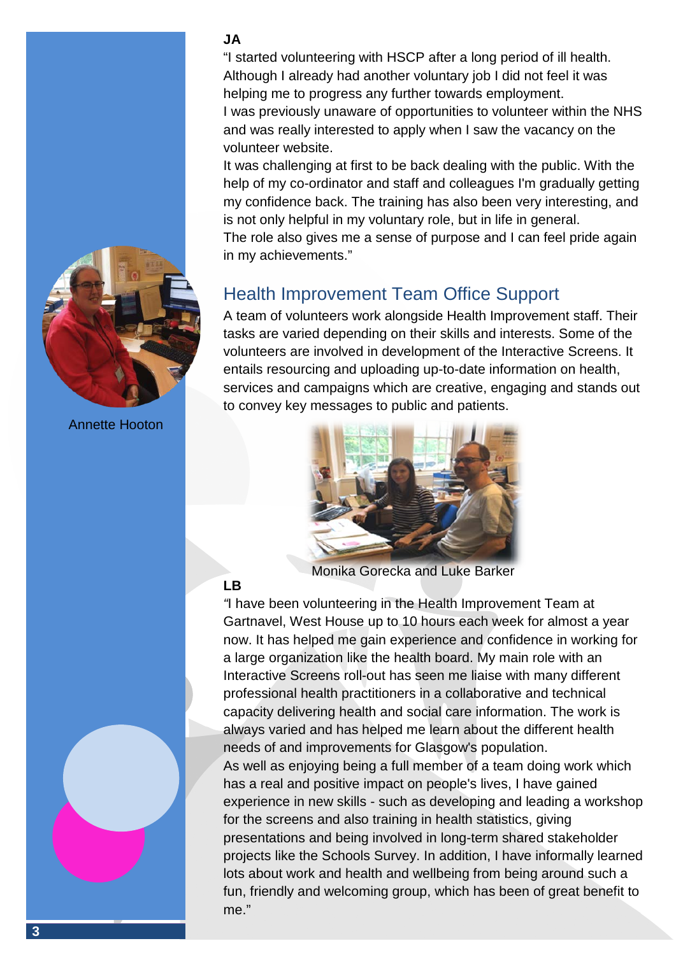#### **JA**

"I started volunteering with HSCP after a long period of ill health. Although I already had another voluntary job I did not feel it was helping me to progress any further towards employment.

I was previously unaware of opportunities to volunteer within the NHS and was really interested to apply when I saw the vacancy on the volunteer website.

It was challenging at first to be back dealing with the public. With the help of my co-ordinator and staff and colleagues I'm gradually getting my confidence back. The training has also been very interesting, and is not only helpful in my voluntary role, but in life in general.

The role also gives me a sense of purpose and I can feel pride again in my achievements."

### Health Improvement Team Office Support

A team of volunteers work alongside Health Improvement staff. Their tasks are varied depending on their skills and interests. Some of the volunteers are involved in development of the Interactive Screens. It entails resourcing and uploading up-to-date information on health, services and campaigns which are creative, engaging and stands out to convey key messages to public and patients.



Monika Gorecka and Luke Barker

#### **LB**

*"*I have been volunteering in the Health Improvement Team at Gartnavel, West House up to 10 hours each week for almost a year now. It has helped me gain experience and confidence in working for a large organization like the health board. My main role with an Interactive Screens roll-out has seen me liaise with many different professional health practitioners in a collaborative and technical capacity delivering health and social care information. The work is always varied and has helped me learn about the different health needs of and improvements for Glasgow's population. As well as enjoying being a full member of a team doing work which has a real and positive impact on people's lives, I have gained experience in new skills - such as developing and leading a workshop for the screens and also training in health statistics, giving presentations and being involved in long-term shared stakeholder projects like the Schools Survey. In addition, I have informally learned lots about work and health and wellbeing from being around such a fun, friendly and welcoming group, which has been of great benefit to me."



Annette Hooton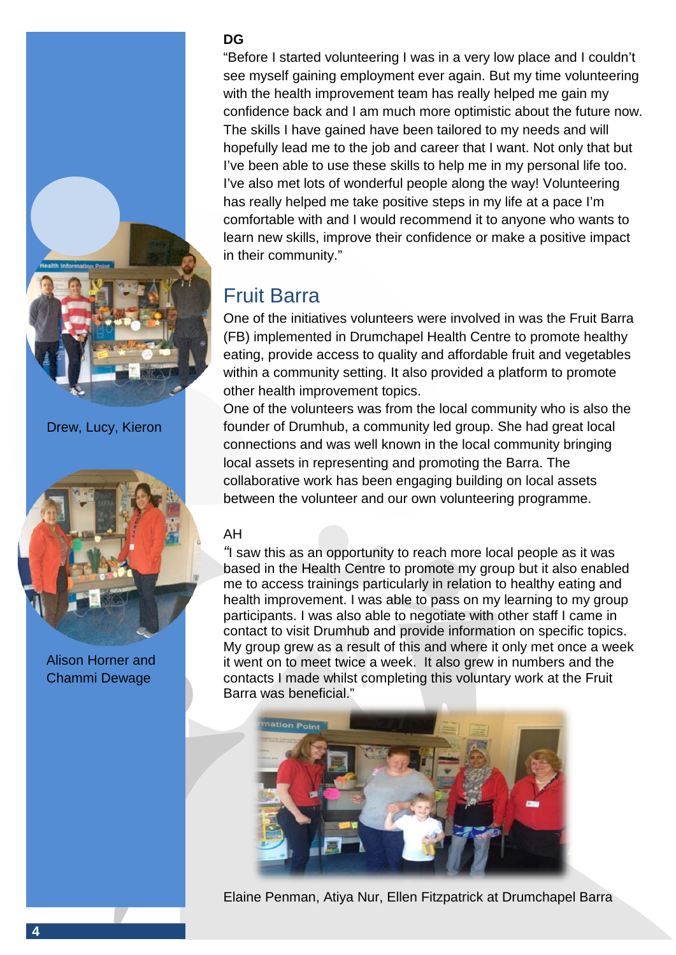

Drew, Lucy, Kieron



Alison Horner and Chammi Dewage

#### **DG**

"Before I started volunteering I was in a very low place and I couldn't see myself gaining employment ever again. But my time volunteering with the health improvement team has really helped me gain my confidence back and I am much more optimistic about the future now. The skills I have gained have been tailored to my needs and will hopefully lead me to the job and career that I want. Not only that but I've been able to use these skills to help me in my personal life too. I've also met lots of wonderful people along the way! Volunteering has really helped me take positive steps in my life at a pace I'm comfortable with and I would recommend it to anyone who wants to learn new skills, improve their confidence or make a positive impact in their community."

## Fruit Barra

One of the initiatives volunteers were involved in was the Fruit Barra (FB) implemented in Drumchapel Health Centre to promote healthy eating, provide access to quality and affordable fruit and vegetables within a community setting. It also provided a platform to promote other health improvement topics.

One of the volunteers was from the local community who is also the founder of Drumhub, a community led group. She had great local connections and was well known in the local community bringing local assets in representing and promoting the Barra. The collaborative work has been engaging building on local assets between the volunteer and our own volunteering programme.

#### AH

*"*I saw this as an opportunity to reach more local people as it was based in the Health Centre to promote my group but it also enabled me to access trainings particularly in relation to healthy eating and health improvement. I was able to pass on my learning to my group participants. I was also able to negotiate with other staff I came in contact to visit Drumhub and provide information on specific topics. My group grew as a result of this and where it only met once a week it went on to meet twice a week. It also grew in numbers and the contacts I made whilst completing this voluntary work at the Fruit Barra was beneficial."



Elaine Penman, Atiya Nur, Ellen Fitzpatrick at Drumchapel Barra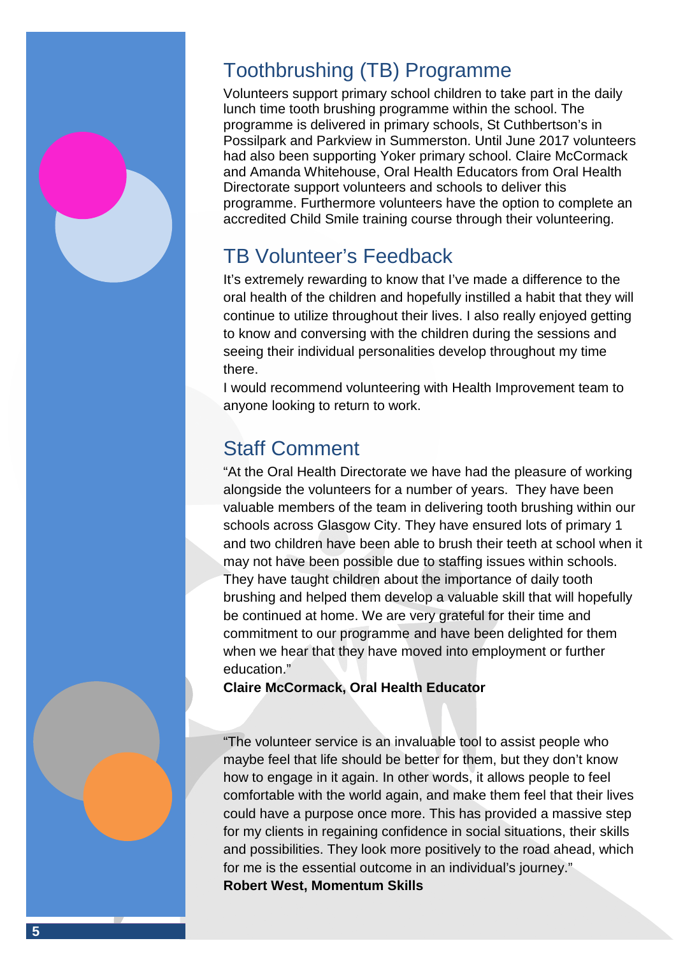## Toothbrushing (TB) Programme

Volunteers support primary school children to take part in the daily lunch time tooth brushing programme within the school. The programme is delivered in primary schools, St Cuthbertson's in Possilpark and Parkview in Summerston. Until June 2017 volunteers had also been supporting Yoker primary school. Claire McCormack and Amanda Whitehouse, Oral Health Educators from Oral Health Directorate support volunteers and schools to deliver this programme. Furthermore volunteers have the option to complete an accredited Child Smile training course through their volunteering.

## TB Volunteer's Feedback

It's extremely rewarding to know that I've made a difference to the oral health of the children and hopefully instilled a habit that they will continue to utilize throughout their lives. I also really enjoyed getting to know and conversing with the children during the sessions and seeing their individual personalities develop throughout my time there.

I would recommend volunteering with Health Improvement team to anyone looking to return to work.

## Staff Comment

"At the Oral Health Directorate we have had the pleasure of working alongside the volunteers for a number of years. They have been valuable members of the team in delivering tooth brushing within our schools across Glasgow City. They have ensured lots of primary 1 and two children have been able to brush their teeth at school when it may not have been possible due to staffing issues within schools. They have taught children about the importance of daily tooth brushing and helped them develop a valuable skill that will hopefully be continued at home. We are very grateful for their time and commitment to our programme and have been delighted for them when we hear that they have moved into employment or further education."

**Claire McCormack, Oral Health Educator**

"The volunteer service is an invaluable tool to assist people who maybe feel that life should be better for them, but they don't know how to engage in it again. In other words, it allows people to feel comfortable with the world again, and make them feel that their lives could have a purpose once more. This has provided a massive step for my clients in regaining confidence in social situations, their skills and possibilities. They look more positively to the road ahead, which for me is the essential outcome in an individual's journey." **Robert West, Momentum Skills**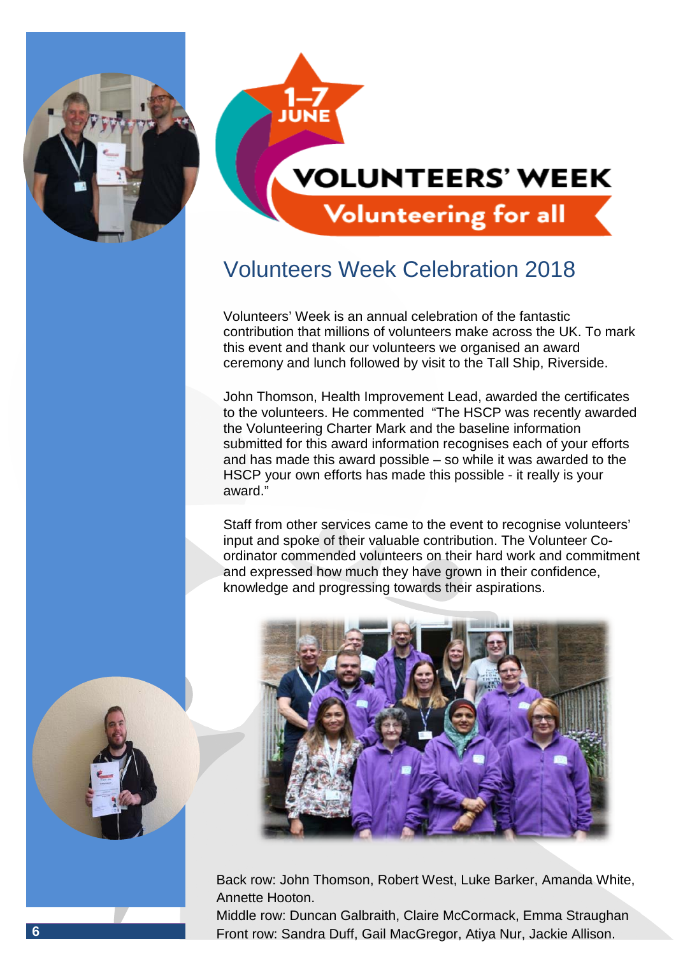



## Volunteers Week Celebration 2018

Volunteers' Week is an annual celebration of the fantastic contribution that millions of volunteers make across the UK. To mark this event and thank our volunteers we organised an award ceremony and lunch followed by visit to the Tall Ship, Riverside.

John Thomson, Health Improvement Lead, awarded the certificates to the volunteers. He commented "The HSCP was recently awarded the Volunteering Charter Mark and the baseline information submitted for this award information recognises each of your efforts and has made this award possible – so while it was awarded to the HSCP your own efforts has made this possible - it really is your award."

Staff from other services came to the event to recognise volunteers' input and spoke of their valuable contribution. The Volunteer Coordinator commended volunteers on their hard work and commitment and expressed how much they have grown in their confidence, knowledge and progressing towards their aspirations.



Back row: John Thomson, Robert West, Luke Barker, Amanda White, Annette Hooton.

Middle row: Duncan Galbraith, Claire McCormack, Emma Straughan **6** Front row: Sandra Duff, Gail MacGregor, Atiya Nur, Jackie Allison.